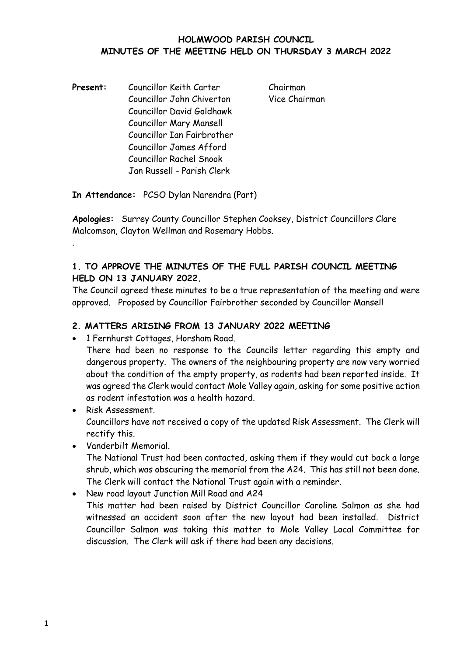### **HOLMWOOD PARISH COUNCIL MINUTES OF THE MEETING HELD ON THURSDAY 3 MARCH 2022**

Present: Councillor Keith Carter Chairman Councillor John Chiverton Vice Chairman Councillor David Goldhawk Councillor Mary Mansell Councillor Ian Fairbrother Councillor James Afford Councillor Rachel Snook Jan Russell - Parish Clerk

**In Attendance:** PCSO Dylan Narendra (Part)

**Apologies:** Surrey County Councillor Stephen Cooksey, District Councillors Clare Malcomson, Clayton Wellman and Rosemary Hobbs.

# **1. TO APPROVE THE MINUTES OF THE FULL PARISH COUNCIL MEETING HELD ON 13 JANUARY 2022.**

The Council agreed these minutes to be a true representation of the meeting and were approved. Proposed by Councillor Fairbrother seconded by Councillor Mansell

## **2. MATTERS ARISING FROM 13 JANUARY 2022 MEETING**

• 1 Fernhurst Cottages, Horsham Road.

There had been no response to the Councils letter regarding this empty and dangerous property. The owners of the neighbouring property are now very worried about the condition of the empty property, as rodents had been reported inside. It was agreed the Clerk would contact Mole Valley again, asking for some positive action as rodent infestation was a health hazard.

- Risk Assessment. Councillors have not received a copy of the updated Risk Assessment. The Clerk will rectify this.
- Vanderbilt Memorial.

.

The National Trust had been contacted, asking them if they would cut back a large shrub, which was obscuring the memorial from the A24. This has still not been done. The Clerk will contact the National Trust again with a reminder.

• New road layout Junction Mill Road and A24 This matter had been raised by District Councillor Caroline Salmon as she had witnessed an accident soon after the new layout had been installed. District Councillor Salmon was taking this matter to Mole Valley Local Committee for discussion. The Clerk will ask if there had been any decisions.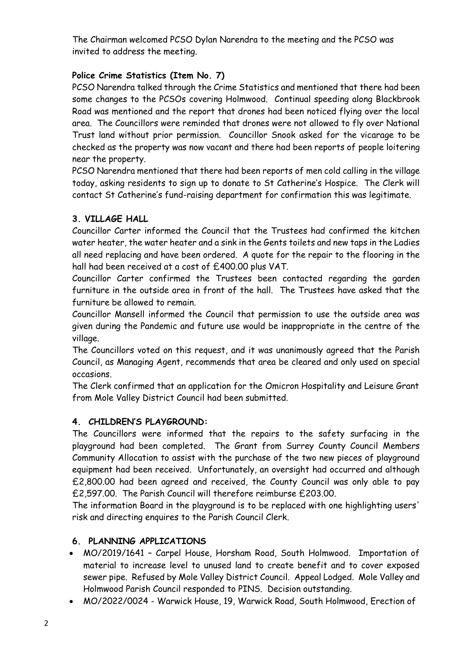The Chairman welcomed PCSO Dylan Narendra to the meeting and the PCSO was invited to address the meeting.

# **Police Crime Statistics (Item No. 7)**

PCSO Narendra talked through the Crime Statistics and mentioned that there had been some changes to the PCSOs covering Holmwood. Continual speeding along Blackbrook Road was mentioned and the report that drones had been noticed flying over the local area. The Councillors were reminded that drones were not allowed to fly over National Trust land without prior permission. Councillor Snook asked for the vicarage to be checked as the property was now vacant and there had been reports of people loitering near the property.

PCSO Narendra mentioned that there had been reports of men cold calling in the village today, asking residents to sign up to donate to St Catherine's Hospice. The Clerk will contact St Catherine's fund-raising department for confirmation this was legitimate.

## **3. VILLAGE HALL**

Councillor Carter informed the Council that the Trustees had confirmed the kitchen water heater, the water heater and a sink in the Gents toilets and new taps in the Ladies all need replacing and have been ordered. A quote for the repair to the flooring in the hall had been received at a cost of £400.00 plus VAT.

Councillor Carter confirmed the Trustees been contacted regarding the garden furniture in the outside area in front of the hall. The Trustees have asked that the furniture be allowed to remain.

Councillor Mansell informed the Council that permission to use the outside area was given during the Pandemic and future use would be inappropriate in the centre of the village.

The Councillors voted on this request, and it was unanimously agreed that the Parish Council, as Managing Agent, recommends that area be cleared and only used on special occasions.

The Clerk confirmed that an application for the Omicron Hospitality and Leisure Grant from Mole Valley District Council had been submitted.

## **4. CHILDREN'S PLAYGROUND:**

The Councillors were informed that the repairs to the safety surfacing in the playground had been completed. The Grant from Surrey County Council Members Community Allocation to assist with the purchase of the two new pieces of playground equipment had been received. Unfortunately, an oversight had occurred and although £2,800.00 had been agreed and received, the County Council was only able to pay £2,597.00. The Parish Council will therefore reimburse £203.00.

The information Board in the playground is to be replaced with one highlighting users' risk and directing enquires to the Parish Council Clerk.

## **6. PLANNING APPLICATIONS**

- MO/2019/1641 Carpel House, Horsham Road, South Holmwood. Importation of material to increase level to unused land to create benefit and to cover exposed sewer pipe. Refused by Mole Valley District Council. Appeal Lodged. Mole Valley and Holmwood Parish Council responded to PINS. Decision outstanding.
- MO/2022/0024 Warwick House, 19, Warwick Road, South Holmwood, Erection of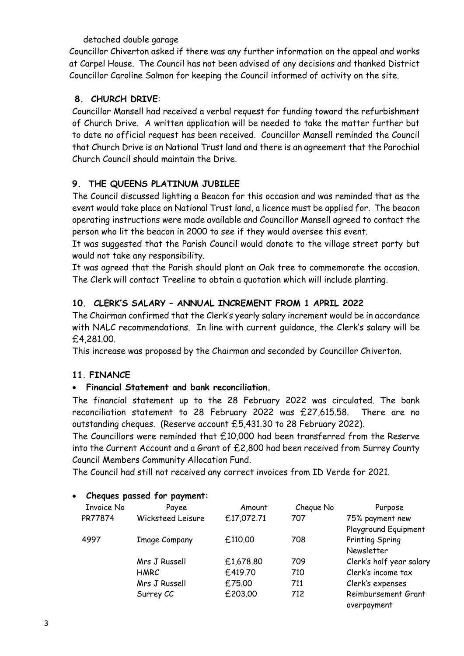detached double garage

Councillor Chiverton asked if there was any further information on the appeal and works at Carpel House. The Council has not been advised of any decisions and thanked District Councillor Caroline Salmon for keeping the Council informed of activity on the site.

## **8. CHURCH DRIVE**:

Councillor Mansell had received a verbal request for funding toward the refurbishment of Church Drive. A written application will be needed to take the matter further but to date no official request has been received. Councillor Mansell reminded the Council that Church Drive is on National Trust land and there is an agreement that the Parochial Church Council should maintain the Drive.

# **9. THE QUEENS PLATINUM JUBILEE**

The Council discussed lighting a Beacon for this occasion and was reminded that as the event would take place on National Trust land, a licence must be applied for. The beacon operating instructions were made available and Councillor Mansell agreed to contact the person who lit the beacon in 2000 to see if they would oversee this event.

It was suggested that the Parish Council would donate to the village street party but would not take any responsibility.

It was agreed that the Parish should plant an Oak tree to commemorate the occasion. The Clerk will contact Treeline to obtain a quotation which will include planting.

# **10. CLERK'S SALARY – ANNUAL INCREMENT FROM 1 APRIL 2022**

The Chairman confirmed that the Clerk's yearly salary increment would be in accordance with NALC recommendations. In line with current guidance, the Clerk's salary will be £4,281.00.

This increase was proposed by the Chairman and seconded by Councillor Chiverton.

## **11. FINANCE**

## • **Financial Statement and bank reconciliation.**

The financial statement up to the 28 February 2022 was circulated. The bank reconciliation statement to 28 February 2022 was £27,615.58. There are no outstanding cheques. (Reserve account £5,431.30 to 28 February 2022).

The Councillors were reminded that £10,000 had been transferred from the Reserve into the Current Account and a Grant of £2,800 had been received from Surrey County Council Members Community Allocation Fund.

The Council had still not received any correct invoices from ID Verde for 2021.

| Criegues passed for payments |                      |            |           |                          |
|------------------------------|----------------------|------------|-----------|--------------------------|
| <b>Invoice No</b>            | Payee                | Amount     | Cheque No | Purpose                  |
| PR77874                      | Wicksteed Leisure    | £17,072.71 | 707       | 75% payment new          |
|                              |                      |            |           | Playground Equipment     |
| 4997                         | <b>Image Company</b> | £110.00    | 708       | Printing Spring          |
|                              |                      |            |           | Newsletter               |
|                              | Mrs J Russell        | £1,678.80  | 709       | Clerk's half year salary |
|                              | HMRC                 | £419.70    | 710       | Clerk's income tax       |
|                              | Mrs J Russell        | £75.00     | 711       | Clerk's expenses         |
|                              | Surrey CC            | £203.00    | 712       | Reimbursement Grant      |
|                              |                      |            |           | overpayment              |
|                              |                      |            |           |                          |

#### • **Cheques passed for payment:**